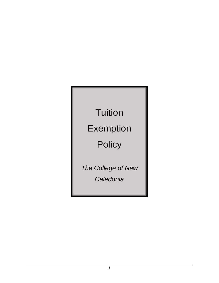# **Tuition**

### Exemption

## **Policy**

*The College of New Caledonia*

*1*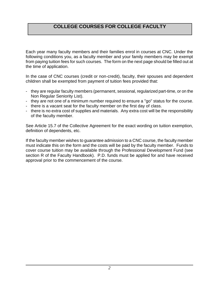#### **COLLEGE COURSES FOR COLLEGE FACULTY**

Each year many faculty members and their families enrol in courses at CNC. Under the following conditions you, as a faculty member and your family members may be exempt from paying tuition fees for such courses. The form on the next page should be filled out at the time of application.

In the case of CNC courses (credit or non-credit), faculty, their spouses and dependent children shall be exempted from payment of tuition fees provided that:

- they are regular faculty members (permanent, sessional, regularized part-time, or on the Non Regular Seniority List).
- they are not one of a minimum number required to ensure a "go" status for the course.
- there is a vacant seat for the faculty member on the first day of class.
- there is no extra cost of supplies and materials. Any extra cost will be the responsibility of the faculty member.

See Article 15.7 of the Collective Agreement for the exact wording on tuition exemption, definition of dependents, etc.

If the faculty member wishes to guarantee admission to a CNC course, the faculty member must indicate this on the form and the costs will be paid by the faculty member. Funds to cover course tuition may be available through the Professional Development Fund (see section R of the Faculty Handbook). P.D. funds must be applied for and have received approval prior to the commencement of the course.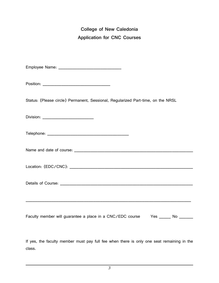### **College of New Caledonia Application for CNC Courses**

Employee Name: \_\_\_\_\_\_\_\_\_\_\_\_\_\_\_\_\_\_\_\_\_\_\_\_\_\_\_

Position: \_\_\_\_\_\_\_\_\_\_\_\_\_\_\_\_\_\_\_\_\_\_\_\_\_\_\_\_\_

Status: (Please circle) Permanent, Sessional, Regularized Part-time, on the NRSL

Division: \_\_\_\_\_\_\_\_\_\_\_\_\_\_\_\_\_\_\_\_\_\_

| Telephone: |  |  |
|------------|--|--|
|------------|--|--|

Name and date of course: \_\_\_\_\_\_\_\_\_\_\_\_\_\_\_\_\_\_\_\_\_\_\_\_\_\_\_\_\_\_\_\_\_\_\_\_\_\_\_\_\_\_\_\_\_\_\_\_\_\_\_

Location: (EDC/CNC): \_\_\_\_\_\_\_\_\_\_\_\_\_\_\_\_\_\_\_\_\_\_\_\_\_\_\_\_\_\_\_\_\_\_\_\_\_\_\_\_\_\_\_\_\_\_\_\_\_\_\_\_\_

Details of Course: \_\_\_\_\_\_\_\_\_\_\_\_\_\_\_\_\_\_\_\_\_\_\_\_\_\_\_\_\_\_\_\_\_\_\_\_\_\_\_\_\_\_\_\_\_\_\_\_\_\_\_\_\_\_\_\_\_

Faculty member will guarantee a place in a CNC/EDC course Yes \_\_\_\_\_ No \_\_\_\_\_\_

\_\_\_\_\_\_\_\_\_\_\_\_\_\_\_\_\_\_\_\_\_\_\_\_\_\_\_\_\_\_\_\_\_\_\_\_\_\_\_\_\_\_\_\_\_\_\_\_\_\_\_\_\_\_\_\_\_\_\_\_\_\_\_\_\_\_\_\_\_\_\_

If yes, the faculty member must pay full fee when there is only one seat remaining in the class.